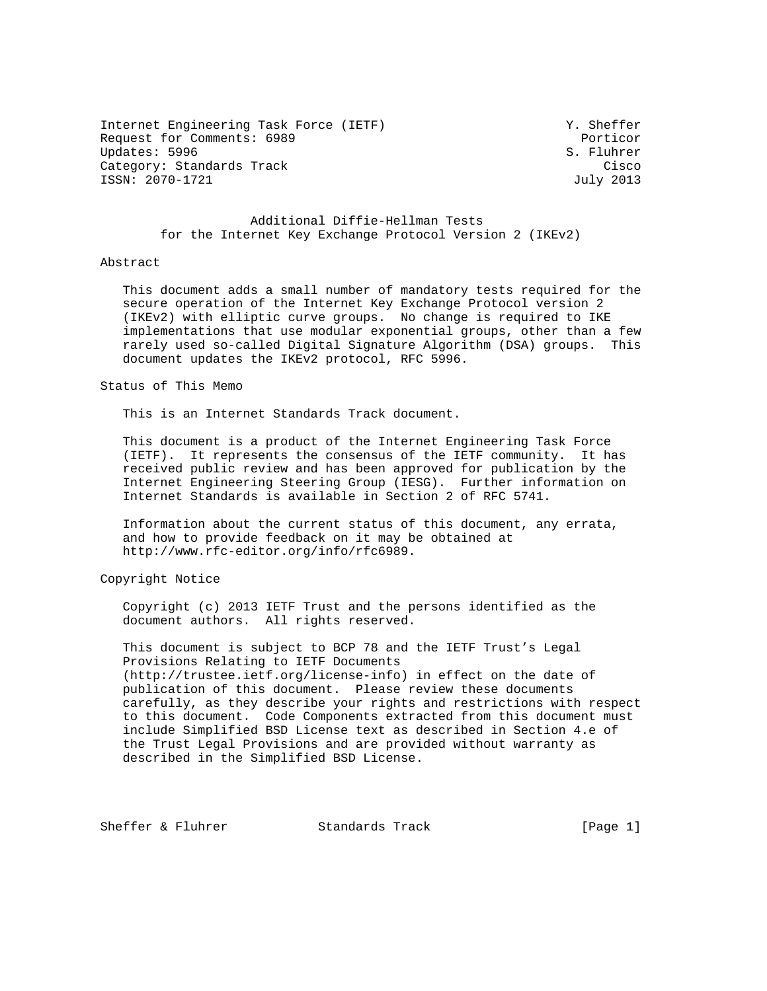Internet Engineering Task Force (IETF) Y. Sheffer Request for Comments: 6989 Porticor Updates: 5996 S. Fluhrer Category: Standards Track Cisco Cisco Cisco Cisco Cisco Cisco Cisco Cisco Cisco Cisco Cisco Cisco Cisco Cisco ISSN: 2070-1721 July 2013

# Additional Diffie-Hellman Tests for the Internet Key Exchange Protocol Version 2 (IKEv2)

### Abstract

 This document adds a small number of mandatory tests required for the secure operation of the Internet Key Exchange Protocol version 2 (IKEv2) with elliptic curve groups. No change is required to IKE implementations that use modular exponential groups, other than a few rarely used so-called Digital Signature Algorithm (DSA) groups. This document updates the IKEv2 protocol, RFC 5996.

## Status of This Memo

This is an Internet Standards Track document.

 This document is a product of the Internet Engineering Task Force (IETF). It represents the consensus of the IETF community. It has received public review and has been approved for publication by the Internet Engineering Steering Group (IESG). Further information on Internet Standards is available in Section 2 of RFC 5741.

 Information about the current status of this document, any errata, and how to provide feedback on it may be obtained at http://www.rfc-editor.org/info/rfc6989.

## Copyright Notice

 Copyright (c) 2013 IETF Trust and the persons identified as the document authors. All rights reserved.

 This document is subject to BCP 78 and the IETF Trust's Legal Provisions Relating to IETF Documents (http://trustee.ietf.org/license-info) in effect on the date of publication of this document. Please review these documents carefully, as they describe your rights and restrictions with respect to this document. Code Components extracted from this document must include Simplified BSD License text as described in Section 4.e of the Trust Legal Provisions and are provided without warranty as described in the Simplified BSD License.

Sheffer & Fluhrer Standards Track [Page 1]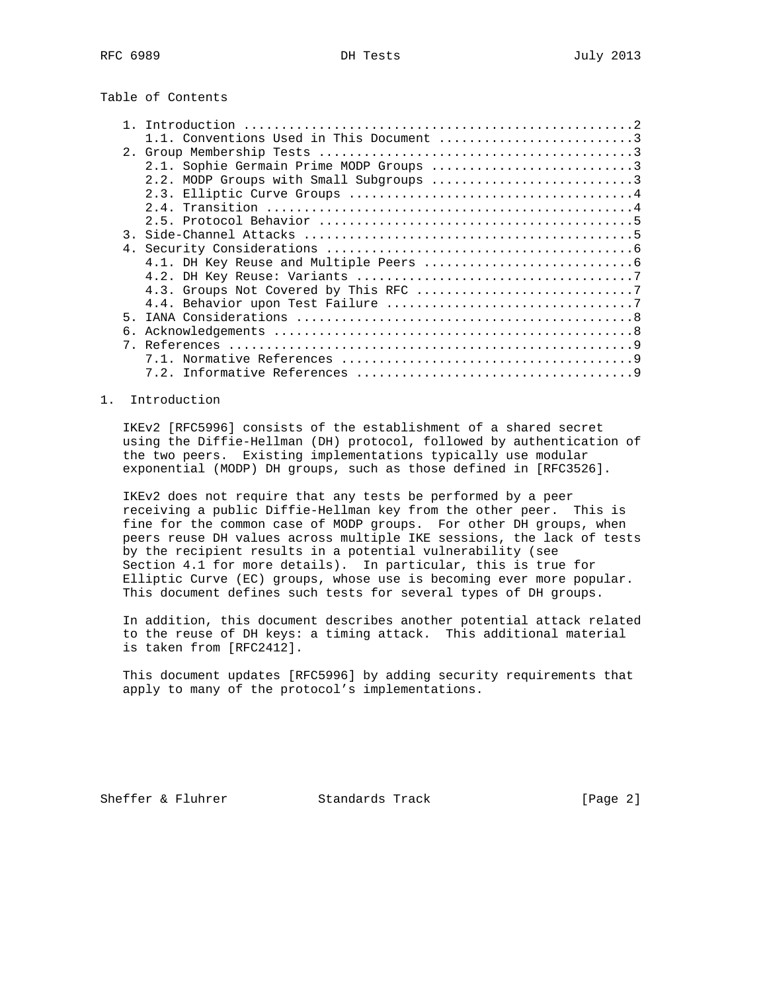# Table of Contents

|                | Introduction                            |
|----------------|-----------------------------------------|
|                | Conventions Used in This Document 3     |
|                |                                         |
|                | 2.1. Sophie Germain Prime MODP Groups 3 |
|                | 2.2. MODP Groups with Small Subgroups 3 |
|                |                                         |
|                |                                         |
|                |                                         |
| $\mathcal{R}$  |                                         |
| 4 <sub>1</sub> |                                         |
|                |                                         |
|                |                                         |
|                |                                         |
|                |                                         |
| 5              |                                         |
| б.             |                                         |
|                |                                         |
|                |                                         |
|                |                                         |

## 1. Introduction

 IKEv2 [RFC5996] consists of the establishment of a shared secret using the Diffie-Hellman (DH) protocol, followed by authentication of the two peers. Existing implementations typically use modular exponential (MODP) DH groups, such as those defined in [RFC3526].

 IKEv2 does not require that any tests be performed by a peer receiving a public Diffie-Hellman key from the other peer. This is fine for the common case of MODP groups. For other DH groups, when peers reuse DH values across multiple IKE sessions, the lack of tests by the recipient results in a potential vulnerability (see Section 4.1 for more details). In particular, this is true for Elliptic Curve (EC) groups, whose use is becoming ever more popular. This document defines such tests for several types of DH groups.

 In addition, this document describes another potential attack related to the reuse of DH keys: a timing attack. This additional material is taken from [RFC2412].

 This document updates [RFC5996] by adding security requirements that apply to many of the protocol's implementations.

Sheffer & Fluhrer Standards Track [Page 2]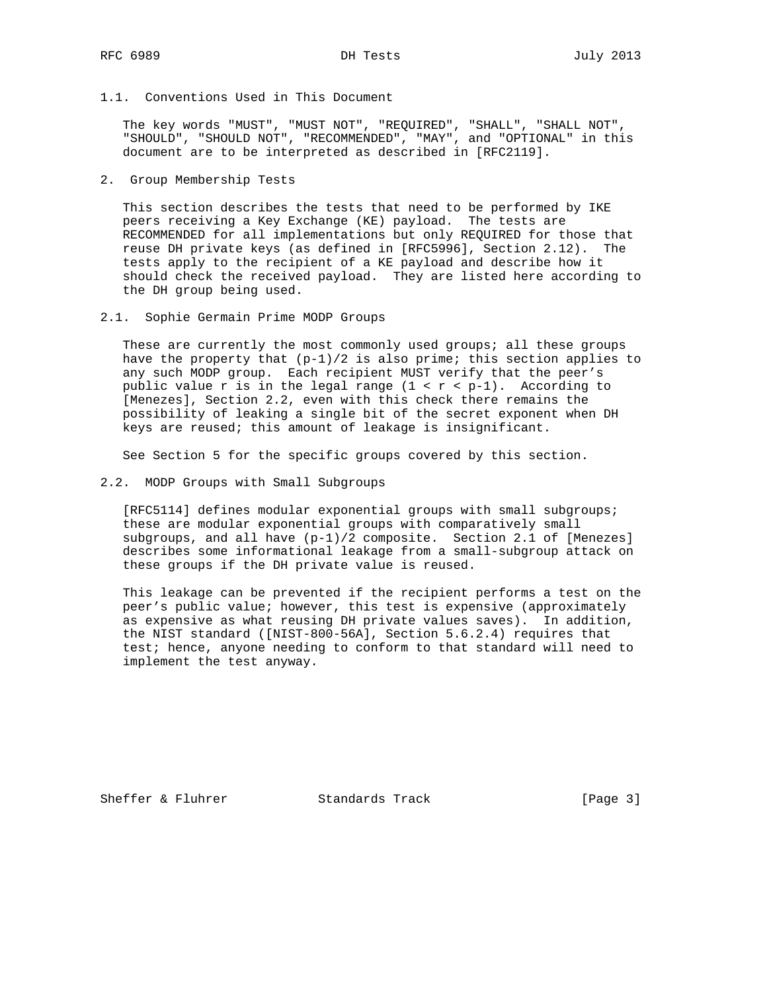1.1. Conventions Used in This Document

 The key words "MUST", "MUST NOT", "REQUIRED", "SHALL", "SHALL NOT", "SHOULD", "SHOULD NOT", "RECOMMENDED", "MAY", and "OPTIONAL" in this document are to be interpreted as described in [RFC2119].

2. Group Membership Tests

 This section describes the tests that need to be performed by IKE peers receiving a Key Exchange (KE) payload. The tests are RECOMMENDED for all implementations but only REQUIRED for those that reuse DH private keys (as defined in [RFC5996], Section 2.12). The tests apply to the recipient of a KE payload and describe how it should check the received payload. They are listed here according to the DH group being used.

2.1. Sophie Germain Prime MODP Groups

These are currently the most commonly used groups; all these groups have the property that  $(p-1)/2$  is also prime; this section applies to any such MODP group. Each recipient MUST verify that the peer's public value r is in the legal range  $(1 < r < p-1)$ . According to [Menezes], Section 2.2, even with this check there remains the possibility of leaking a single bit of the secret exponent when DH keys are reused; this amount of leakage is insignificant.

See Section 5 for the specific groups covered by this section.

2.2. MODP Groups with Small Subgroups

 [RFC5114] defines modular exponential groups with small subgroups; these are modular exponential groups with comparatively small subgroups, and all have (p-1)/2 composite. Section 2.1 of [Menezes] describes some informational leakage from a small-subgroup attack on these groups if the DH private value is reused.

 This leakage can be prevented if the recipient performs a test on the peer's public value; however, this test is expensive (approximately as expensive as what reusing DH private values saves). In addition, the NIST standard ([NIST-800-56A], Section 5.6.2.4) requires that test; hence, anyone needing to conform to that standard will need to implement the test anyway.

Sheffer & Fluhrer Standards Track [Page 3]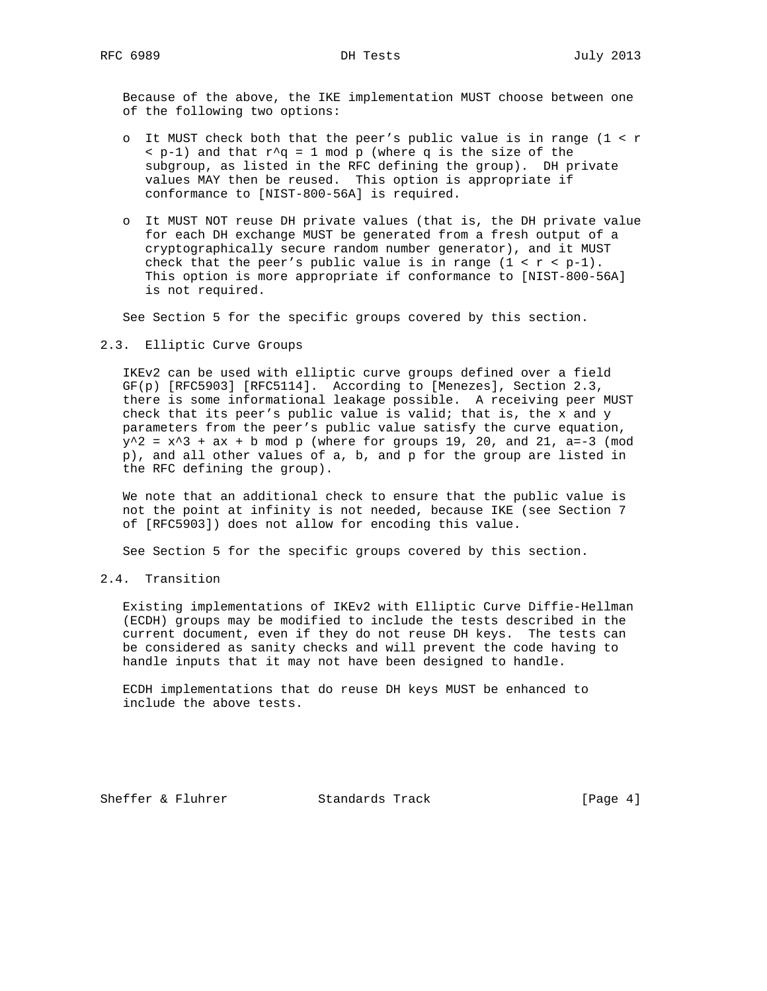Because of the above, the IKE implementation MUST choose between one of the following two options:

- o It MUST check both that the peer's public value is in range (1 < r  $\langle p-1 \rangle$  and that  $r^q = 1$  mod p (where q is the size of the subgroup, as listed in the RFC defining the group). DH private values MAY then be reused. This option is appropriate if conformance to [NIST-800-56A] is required.
- o It MUST NOT reuse DH private values (that is, the DH private value for each DH exchange MUST be generated from a fresh output of a cryptographically secure random number generator), and it MUST check that the peer's public value is in range  $(1 < r < p-1)$ . This option is more appropriate if conformance to [NIST-800-56A] is not required.

See Section 5 for the specific groups covered by this section.

2.3. Elliptic Curve Groups

 IKEv2 can be used with elliptic curve groups defined over a field GF(p) [RFC5903] [RFC5114]. According to [Menezes], Section 2.3, there is some informational leakage possible. A receiving peer MUST check that its peer's public value is valid; that is, the x and y parameters from the peer's public value satisfy the curve equation,  $y^2 = x^3 + ax + b \mod p$  (where for groups 19, 20, and 21, a=-3 (mod p), and all other values of a, b, and p for the group are listed in the RFC defining the group).

 We note that an additional check to ensure that the public value is not the point at infinity is not needed, because IKE (see Section 7 of [RFC5903]) does not allow for encoding this value.

See Section 5 for the specific groups covered by this section.

2.4. Transition

 Existing implementations of IKEv2 with Elliptic Curve Diffie-Hellman (ECDH) groups may be modified to include the tests described in the current document, even if they do not reuse DH keys. The tests can be considered as sanity checks and will prevent the code having to handle inputs that it may not have been designed to handle.

 ECDH implementations that do reuse DH keys MUST be enhanced to include the above tests.

Sheffer & Fluhrer Standards Track [Page 4]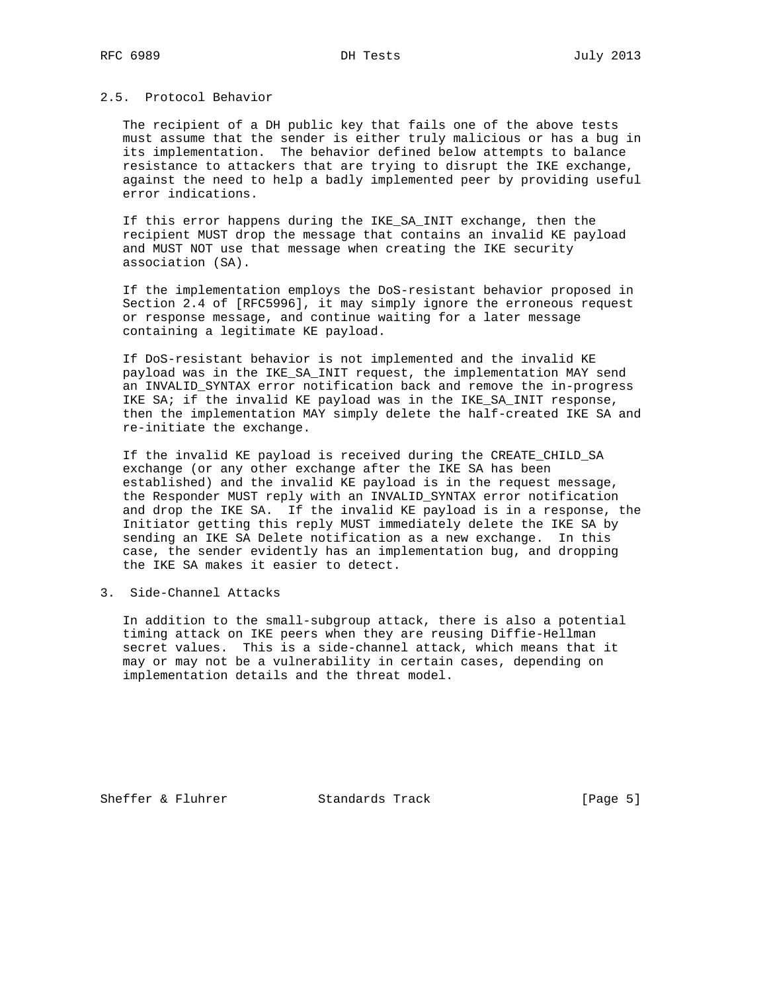# 2.5. Protocol Behavior

 The recipient of a DH public key that fails one of the above tests must assume that the sender is either truly malicious or has a bug in its implementation. The behavior defined below attempts to balance resistance to attackers that are trying to disrupt the IKE exchange, against the need to help a badly implemented peer by providing useful error indications.

 If this error happens during the IKE\_SA\_INIT exchange, then the recipient MUST drop the message that contains an invalid KE payload and MUST NOT use that message when creating the IKE security association (SA).

 If the implementation employs the DoS-resistant behavior proposed in Section 2.4 of [RFC5996], it may simply ignore the erroneous request or response message, and continue waiting for a later message containing a legitimate KE payload.

 If DoS-resistant behavior is not implemented and the invalid KE payload was in the IKE\_SA\_INIT request, the implementation MAY send an INVALID\_SYNTAX error notification back and remove the in-progress IKE SA; if the invalid KE payload was in the IKE\_SA\_INIT response, then the implementation MAY simply delete the half-created IKE SA and re-initiate the exchange.

 If the invalid KE payload is received during the CREATE\_CHILD\_SA exchange (or any other exchange after the IKE SA has been established) and the invalid KE payload is in the request message, the Responder MUST reply with an INVALID\_SYNTAX error notification and drop the IKE SA. If the invalid KE payload is in a response, the Initiator getting this reply MUST immediately delete the IKE SA by sending an IKE SA Delete notification as a new exchange. In this case, the sender evidently has an implementation bug, and dropping the IKE SA makes it easier to detect.

3. Side-Channel Attacks

 In addition to the small-subgroup attack, there is also a potential timing attack on IKE peers when they are reusing Diffie-Hellman secret values. This is a side-channel attack, which means that it may or may not be a vulnerability in certain cases, depending on implementation details and the threat model.

Sheffer & Fluhrer Standards Track [Page 5]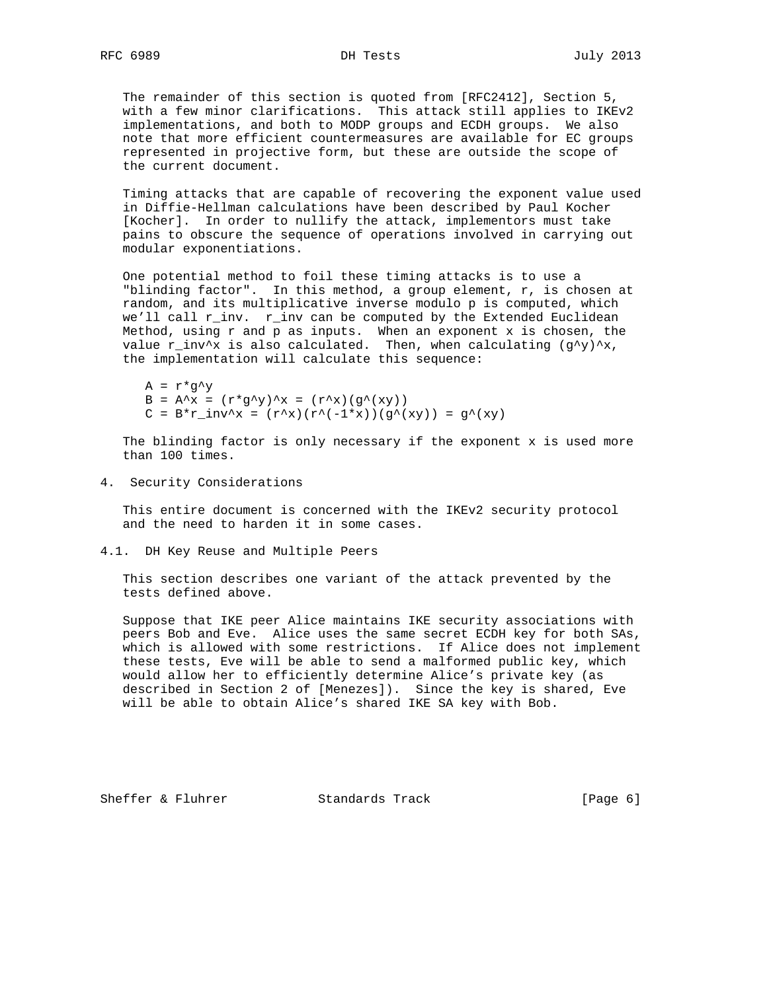The remainder of this section is quoted from [RFC2412], Section 5, with a few minor clarifications. This attack still applies to IKEv2 implementations, and both to MODP groups and ECDH groups. We also note that more efficient countermeasures are available for EC groups represented in projective form, but these are outside the scope of the current document.

 Timing attacks that are capable of recovering the exponent value used in Diffie-Hellman calculations have been described by Paul Kocher [Kocher]. In order to nullify the attack, implementors must take pains to obscure the sequence of operations involved in carrying out modular exponentiations.

 One potential method to foil these timing attacks is to use a "blinding factor". In this method, a group element, r, is chosen at random, and its multiplicative inverse modulo p is computed, which we'll call r\_inv. r\_inv can be computed by the Extended Euclidean Method, using  $r$  and  $p$  as inputs. When an exponent  $x$  is chosen, the value r\_inv^x is also calculated. Then, when calculating  $(g^y)'$ x, the implementation will calculate this sequence:

 $A = r * q^y$  $B = A^x = (r^*g^y) x = (r^*x)(g^*(xy))$  $C = B^*r\_inv^x = (r^x)(r^(-1*x))(g^x(xy)) = g^x(xy)$ 

 The blinding factor is only necessary if the exponent x is used more than 100 times.

4. Security Considerations

 This entire document is concerned with the IKEv2 security protocol and the need to harden it in some cases.

4.1. DH Key Reuse and Multiple Peers

 This section describes one variant of the attack prevented by the tests defined above.

 Suppose that IKE peer Alice maintains IKE security associations with peers Bob and Eve. Alice uses the same secret ECDH key for both SAs, which is allowed with some restrictions. If Alice does not implement these tests, Eve will be able to send a malformed public key, which would allow her to efficiently determine Alice's private key (as described in Section 2 of [Menezes]). Since the key is shared, Eve will be able to obtain Alice's shared IKE SA key with Bob.

Sheffer & Fluhrer Standards Track [Page 6]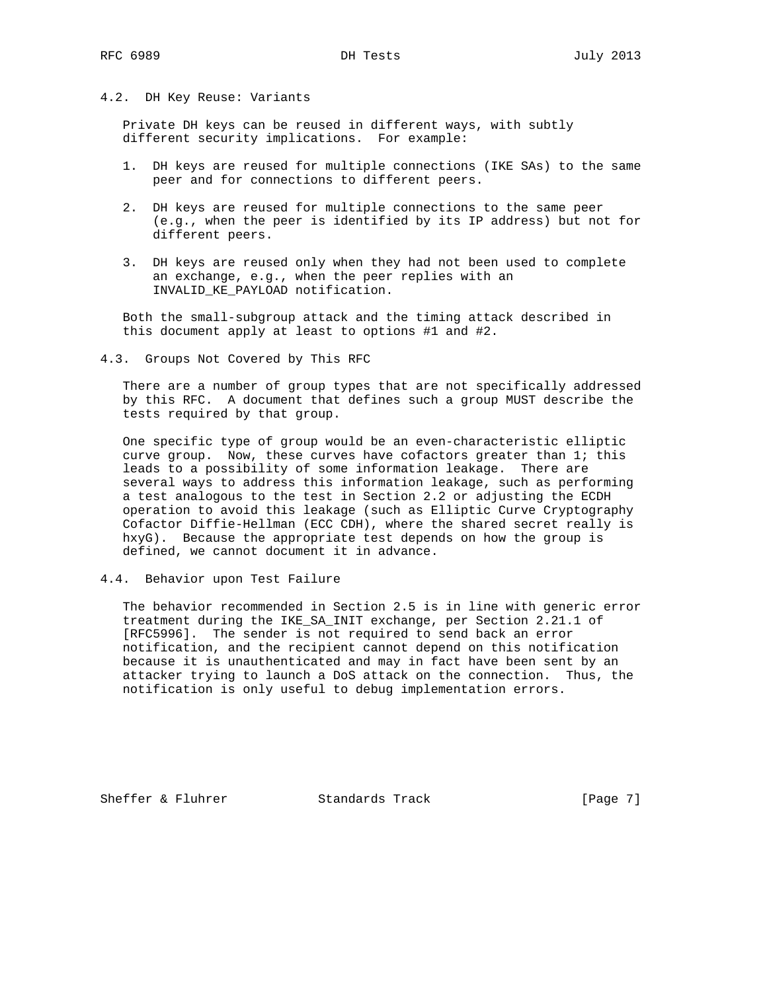## 4.2. DH Key Reuse: Variants

 Private DH keys can be reused in different ways, with subtly different security implications. For example:

- 1. DH keys are reused for multiple connections (IKE SAs) to the same peer and for connections to different peers.
- 2. DH keys are reused for multiple connections to the same peer (e.g., when the peer is identified by its IP address) but not for different peers.
- 3. DH keys are reused only when they had not been used to complete an exchange, e.g., when the peer replies with an INVALID\_KE\_PAYLOAD notification.

 Both the small-subgroup attack and the timing attack described in this document apply at least to options #1 and #2.

4.3. Groups Not Covered by This RFC

 There are a number of group types that are not specifically addressed by this RFC. A document that defines such a group MUST describe the tests required by that group.

 One specific type of group would be an even-characteristic elliptic curve group. Now, these curves have cofactors greater than 1; this leads to a possibility of some information leakage. There are several ways to address this information leakage, such as performing a test analogous to the test in Section 2.2 or adjusting the ECDH operation to avoid this leakage (such as Elliptic Curve Cryptography Cofactor Diffie-Hellman (ECC CDH), where the shared secret really is hxyG). Because the appropriate test depends on how the group is defined, we cannot document it in advance.

4.4. Behavior upon Test Failure

 The behavior recommended in Section 2.5 is in line with generic error treatment during the IKE\_SA\_INIT exchange, per Section 2.21.1 of [RFC5996]. The sender is not required to send back an error notification, and the recipient cannot depend on this notification because it is unauthenticated and may in fact have been sent by an attacker trying to launch a DoS attack on the connection. Thus, the notification is only useful to debug implementation errors.

Sheffer & Fluhrer Standards Track [Page 7]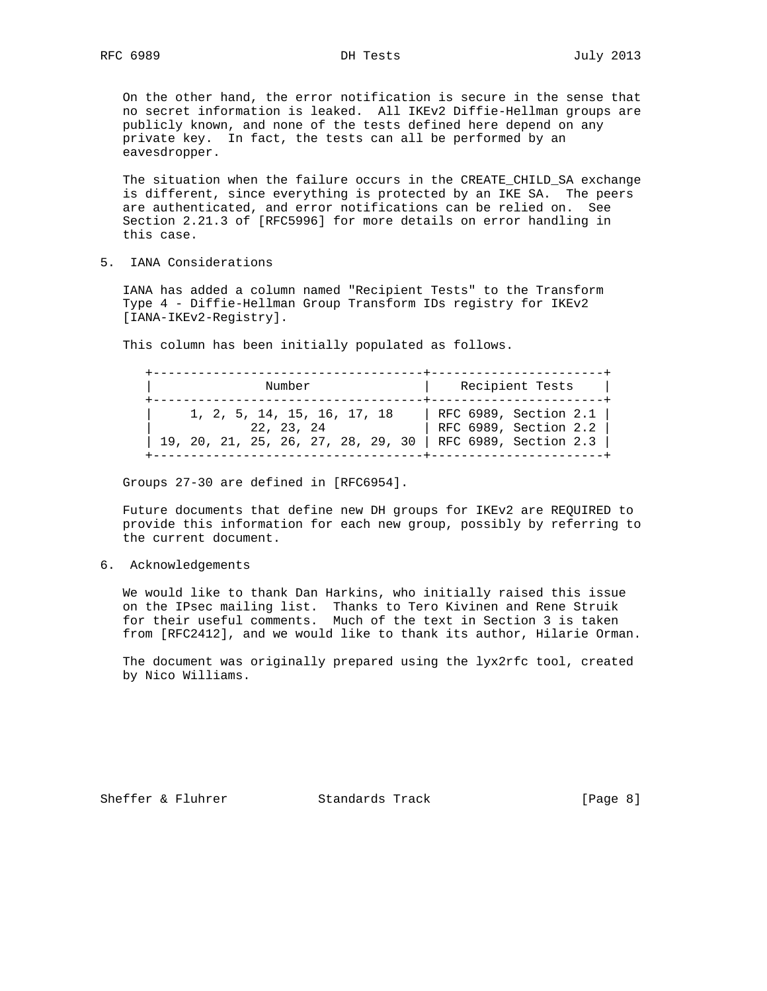On the other hand, the error notification is secure in the sense that no secret information is leaked. All IKEv2 Diffie-Hellman groups are publicly known, and none of the tests defined here depend on any private key. In fact, the tests can all be performed by an eavesdropper.

 The situation when the failure occurs in the CREATE\_CHILD\_SA exchange is different, since everything is protected by an IKE SA. The peers are authenticated, and error notifications can be relied on. See Section 2.21.3 of [RFC5996] for more details on error handling in this case.

5. IANA Considerations

 IANA has added a column named "Recipient Tests" to the Transform Type 4 - Diffie-Hellman Group Transform IDs registry for IKEv2 [IANA-IKEv2-Registry].

This column has been initially populated as follows.

 +------------------------------------+-----------------------+ Number | Recipient Tests +------------------------------------+-----------------------+ | 1, 2, 5, 14, 15, 16, 17, 18 | RFC 6989, Section 2.1 | | 22, 23, 24 | RFC 6989, Section 2.2 | | 19, 20, 21, 25, 26, 27, 28, 29, 30 | RFC 6989, Section 2.3 | +------------------------------------+-----------------------+

Groups 27-30 are defined in [RFC6954].

 Future documents that define new DH groups for IKEv2 are REQUIRED to provide this information for each new group, possibly by referring to the current document.

6. Acknowledgements

 We would like to thank Dan Harkins, who initially raised this issue on the IPsec mailing list. Thanks to Tero Kivinen and Rene Struik for their useful comments. Much of the text in Section 3 is taken from [RFC2412], and we would like to thank its author, Hilarie Orman.

 The document was originally prepared using the lyx2rfc tool, created by Nico Williams.

Sheffer & Fluhrer Standards Track [Page 8]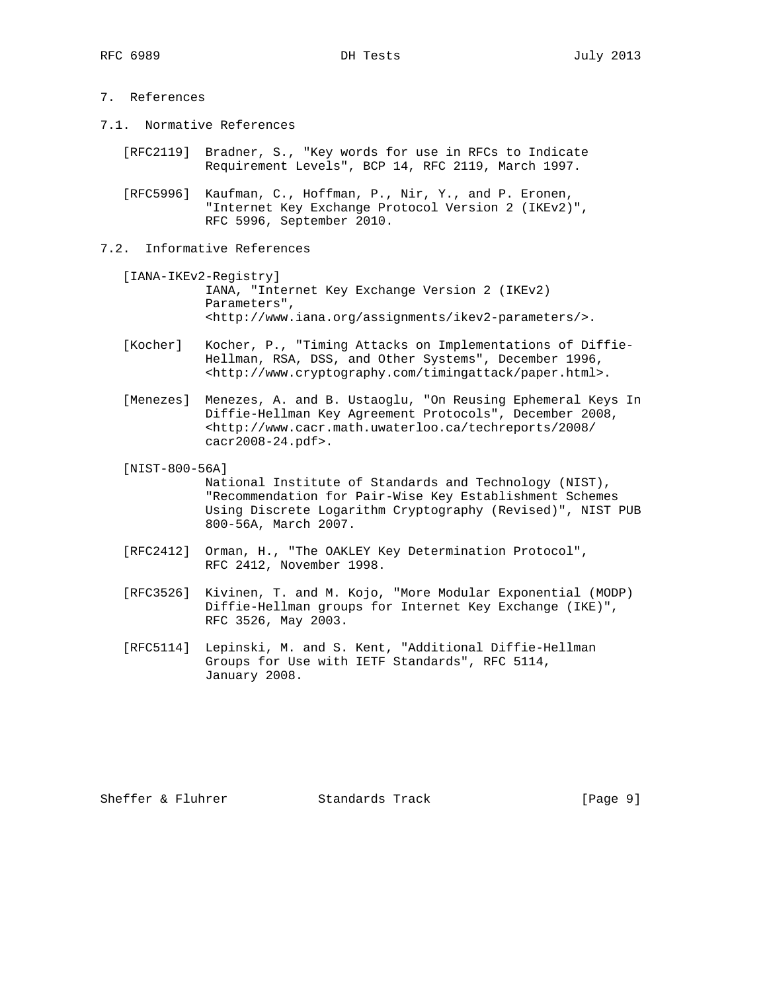- 7. References
- 7.1. Normative References
	- [RFC2119] Bradner, S., "Key words for use in RFCs to Indicate Requirement Levels", BCP 14, RFC 2119, March 1997.
	- [RFC5996] Kaufman, C., Hoffman, P., Nir, Y., and P. Eronen, "Internet Key Exchange Protocol Version 2 (IKEv2)", RFC 5996, September 2010.
- 7.2. Informative References
	- [IANA-IKEv2-Registry] IANA, "Internet Key Exchange Version 2 (IKEv2) Parameters", <http://www.iana.org/assignments/ikev2-parameters/>.
	- [Kocher] Kocher, P., "Timing Attacks on Implementations of Diffie- Hellman, RSA, DSS, and Other Systems", December 1996, <http://www.cryptography.com/timingattack/paper.html>.
	- [Menezes] Menezes, A. and B. Ustaoglu, "On Reusing Ephemeral Keys In Diffie-Hellman Key Agreement Protocols", December 2008, <http://www.cacr.math.uwaterloo.ca/techreports/2008/ cacr2008-24.pdf>.
	- [NIST-800-56A]

 National Institute of Standards and Technology (NIST), "Recommendation for Pair-Wise Key Establishment Schemes Using Discrete Logarithm Cryptography (Revised)", NIST PUB 800-56A, March 2007.

- [RFC2412] Orman, H., "The OAKLEY Key Determination Protocol", RFC 2412, November 1998.
- [RFC3526] Kivinen, T. and M. Kojo, "More Modular Exponential (MODP) Diffie-Hellman groups for Internet Key Exchange (IKE)", RFC 3526, May 2003.
- [RFC5114] Lepinski, M. and S. Kent, "Additional Diffie-Hellman Groups for Use with IETF Standards", RFC 5114, January 2008.

Sheffer & Fluhrer Standards Track [Page 9]